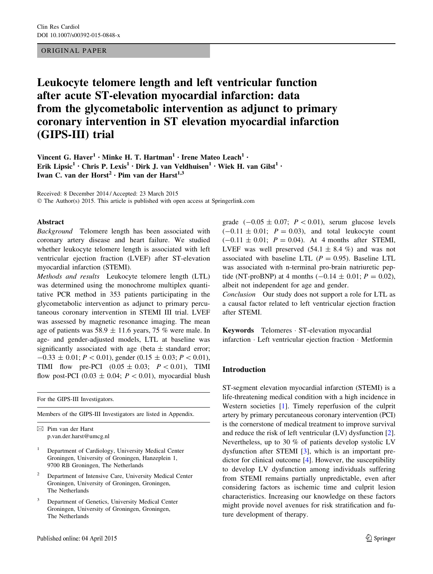## ORIGINAL PAPER

# Leukocyte telomere length and left ventricular function after acute ST-elevation myocardial infarction: data from the glycometabolic intervention as adjunct to primary coronary intervention in ST elevation myocardial infarction (GIPS-III) trial

Vincent G. Haver<sup>1</sup> • Minke H. T. Hartman<sup>1</sup> • Irene Mateo Leach<sup>1</sup> • Erik Lipsic<sup>1</sup> • Chris P. Lexis<sup>1</sup> • Dirk J. van Veldhuisen<sup>1</sup> • Wiek H. van Gilst<sup>1</sup> • Iwan C. van der Horst<sup>2</sup> · Pim van der Harst<sup>1,3</sup>

Received: 8 December 2014 / Accepted: 23 March 2015

© The Author(s) 2015. This article is published with open access at Springerlink.com

#### Abstract

Background Telomere length has been associated with coronary artery disease and heart failure. We studied whether leukocyte telomere length is associated with left ventricular ejection fraction (LVEF) after ST-elevation myocardial infarction (STEMI).

Methods and results Leukocyte telomere length (LTL) was determined using the monochrome multiplex quantitative PCR method in 353 patients participating in the glycometabolic intervention as adjunct to primary percutaneous coronary intervention in STEMI III trial. LVEF was assessed by magnetic resonance imaging. The mean age of patients was  $58.9 \pm 11.6$  years, 75 % were male. In age- and gender-adjusted models, LTL at baseline was significantly associated with age (beta  $\pm$  standard error;  $-0.33 \pm 0.01$ ;  $P \lt 0.01$ ), gender (0.15  $\pm$  0.03;  $P \lt 0.01$ ), TIMI flow pre-PCI  $(0.05 \pm 0.03; P < 0.01)$ , TIMI flow post-PCI (0.03  $\pm$  0.04;  $P < 0.01$ ), myocardial blush

For the GIPS-III Investigators.

Members of the GIPS-III Investigators are listed in Appendix.

 $\boxtimes$  Pim van der Harst p.van.der.harst@umcg.nl

- <sup>1</sup> Department of Cardiology, University Medical Center Groningen, University of Groningen, Hanzeplein 1, 9700 RB Groningen, The Netherlands
- <sup>2</sup> Department of Intensive Care, University Medical Center Groningen, University of Groningen, Groningen, The Netherlands
- Department of Genetics, University Medical Center Groningen, University of Groningen, Groningen, The Netherlands

grade  $(-0.05 \pm 0.07; P \lt 0.01)$ , serum glucose levels  $(-0.11 \pm 0.01; P = 0.03)$ , and total leukocyte count  $(-0.11 \pm 0.01; P = 0.04)$ . At 4 months after STEMI, LVEF was well preserved  $(54.1 \pm 8.4 \%)$  and was not associated with baseline LTL ( $P = 0.95$ ). Baseline LTL was associated with n-terminal pro-brain natriuretic peptide (NT-proBNP) at 4 months  $(-0.14 \pm 0.01; P = 0.02)$ , albeit not independent for age and gender.

Conclusion Our study does not support a role for LTL as a causal factor related to left ventricular ejection fraction after STEMI.

Keywords Telomeres - ST-elevation myocardial infarction - Left ventricular ejection fraction - Metformin

# Introduction

ST-segment elevation myocardial infarction (STEMI) is a life-threatening medical condition with a high incidence in Western societies [\[1](#page-7-0)]. Timely reperfusion of the culprit artery by primary percutaneous coronary intervention (PCI) is the cornerstone of medical treatment to improve survival and reduce the risk of left ventricular (LV) dysfunction [\[2](#page-7-0)]. Nevertheless, up to 30 % of patients develop systolic LV dysfunction after STEMI [\[3](#page-7-0)], which is an important predictor for clinical outcome [\[4](#page-7-0)]. However, the susceptibility to develop LV dysfunction among individuals suffering from STEMI remains partially unpredictable, even after considering factors as ischemic time and culprit lesion characteristics. Increasing our knowledge on these factors might provide novel avenues for risk stratification and future development of therapy.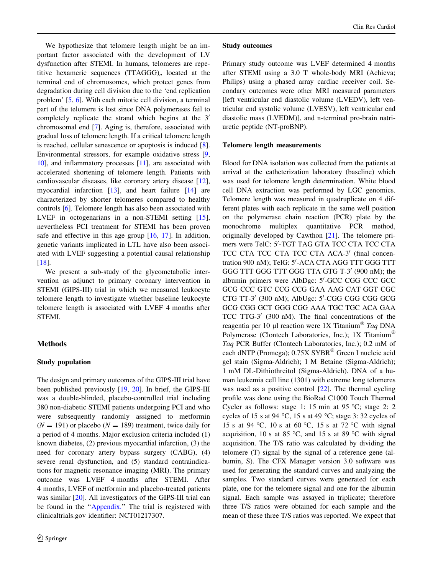We hypothesize that telomere length might be an important factor associated with the development of LV dysfunction after STEMI. In humans, telomeres are repetitive hexameric sequences  $(TTAGGG)$ <sub>n</sub> located at the terminal end of chromosomes, which protect genes from degradation during cell division due to the 'end replication problem' [[5,](#page-8-0) [6](#page-8-0)]. With each mitotic cell division, a terminal part of the telomere is lost since DNA polymerases fail to completely replicate the strand which begins at the  $3<sup>′</sup>$ chromosomal end [[7\]](#page-8-0). Aging is, therefore, associated with gradual loss of telomere length. If a critical telomere length is reached, cellular senescence or apoptosis is induced [\[8](#page-8-0)]. Environmental stressors, for example oxidative stress [[9,](#page-8-0) [10](#page-8-0)], and inflammatory processes [\[11](#page-8-0)], are associated with accelerated shortening of telomere length. Patients with cardiovascular diseases, like coronary artery disease [\[12](#page-8-0)], myocardial infarction  $[13]$  $[13]$ , and heart failure  $[14]$  $[14]$  are characterized by shorter telomeres compared to healthy controls [\[6](#page-8-0)]. Telomere length has also been associated with LVEF in octogenarians in a non-STEMI setting [\[15](#page-8-0)], nevertheless PCI treatment for STEMI has been proven safe and effective in this age group [[16,](#page-8-0) [17](#page-8-0)]. In addition, genetic variants implicated in LTL have also been associated with LVEF suggesting a potential causal relationship [\[18](#page-8-0)].

We present a sub-study of the glycometabolic intervention as adjunct to primary coronary intervention in STEMI (GIPS-III) trial in which we measured leukocyte telomere length to investigate whether baseline leukocyte telomere length is associated with LVEF 4 months after STEMI.

# Methods

# Study population

The design and primary outcomes of the GIPS-III trial have been published previously [\[19](#page-8-0), [20\]](#page-8-0). In brief, the GIPS-III was a double-blinded, placebo-controlled trial including 380 non-diabetic STEMI patients undergoing PCI and who were subsequently randomly assigned to metformin  $(N = 191)$  or placebo  $(N = 189)$  treatment, twice daily for a period of 4 months. Major exclusion criteria included (1) known diabetes, (2) previous myocardial infarction, (3) the need for coronary artery bypass surgery (CABG), (4) severe renal dysfunction, and (5) standard contraindications for magnetic resonance imaging (MRI). The primary outcome was LVEF 4 months after STEMI. After 4 months, LVEF of metformin and placebo-treated patients was similar [[20](#page-8-0)]. All investigators of the GIPS-III trial can be found in the "Appendix." The trial is registered with clinicaltrials.gov identifier: NCT01217307.

#### Study outcomes

Primary study outcome was LVEF determined 4 months after STEMI using a 3.0 T whole-body MRI (Achieva; Philips) using a phased array cardiac receiver coil. Secondary outcomes were other MRI measured parameters [left ventricular end diastolic volume (LVEDV), left ventricular end systolic volume (LVESV), left ventricular end diastolic mass (LVEDM)], and n-terminal pro-brain natriuretic peptide (NT-proBNP).

#### Telomere length measurements

Blood for DNA isolation was collected from the patients at arrival at the catheterization laboratory (baseline) which was used for telomere length determination. White blood cell DNA extraction was performed by LGC genomics. Telomere length was measured in quadruplicate on 4 different plates with each replicate in the same well position on the polymerase chain reaction (PCR) plate by the monochrome multiplex quantitative PCR method, originally developed by Cawthon [\[21](#page-8-0)]. The telomere primers were TelC: 5'-TGT TAG GTA TCC CTA TCC CTA TCC CTA TCC CTA TCC CTA ACA-3' (final concentration 900 nM); TelG: 5'-ACA CTA AGG TTT GGG TTT GGG TTT GGG TTT GGG TTA GTG T-3' (900 nM); the albumin primers were AlbDgc: 5'-GCC CGG CCC GCC GCG CCC GTC CCG CCG GAA AAG CAT GGT CGC CTG TT-3' (300 nM); AlbUgc: 5'-CGG CGG CGG GCG GCG CGG GCT GGG CGG AAA TGC TGC ACA GAA TCC TTG-3 $'$  (300 nM). The final concentrations of the reagentia per 10 µl reaction were 1X Titanium<sup>®</sup> Taq DNA Polymerase (Clontech Laboratories, Inc.); 1X Titanium<sup>®</sup> Taq PCR Buffer (Clontech Laboratories, Inc.); 0.2 mM of each dNTP (Promega); 0.75X SYBR<sup>®</sup> Green I nucleic acid gel stain (Sigma-Aldrich); 1 M Betaine (Sigma-Aldrich); 1 mM DL-Dithiothreitol (Sigma-Aldrich). DNA of a human leukemia cell line (1301) with extreme long telomeres was used as a positive control [[22](#page-8-0)]. The thermal cycling profile was done using the BioRad C1000 Touch Thermal Cycler as follows: stage 1: 15 min at 95  $^{\circ}$ C; stage 2: 2 cycles of 15 s at 94 °C, 15 s at 49 °C; stage 3: 32 cycles of 15 s at 94 °C, 10 s at 60 °C, 15 s at 72 °C with signal acquisition, 10 s at 85 °C, and 15 s at 89 °C with signal acquisition. The T/S ratio was calculated by dividing the telomere (T) signal by the signal of a reference gene (albumin, S). The CFX Manager version 3.0 software was used for generating the standard curves and analyzing the samples. Two standard curves were generated for each plate, one for the telomere signal and one for the albumin signal. Each sample was assayed in triplicate; therefore three T/S ratios were obtained for each sample and the mean of these three T/S ratios was reported. We expect that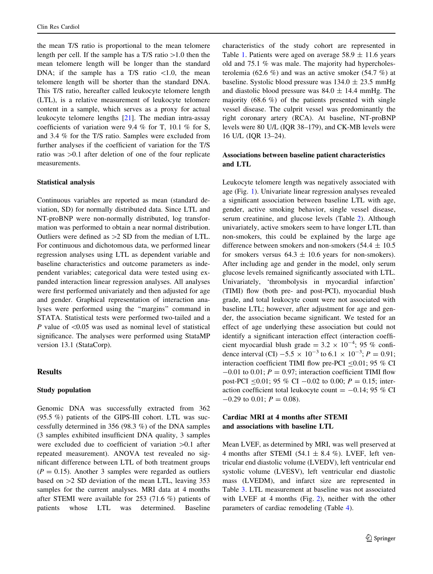the mean T/S ratio is proportional to the mean telomere length per cell. If the sample has a T/S ratio  $>1.0$  then the mean telomere length will be longer than the standard DNA; if the sample has a T/S ratio  $\lt 1.0$ , the mean telomere length will be shorter than the standard DNA. This T/S ratio, hereafter called leukocyte telomere length (LTL), is a relative measurement of leukocyte telomere content in a sample, which serves as a proxy for actual leukocyte telomere lengths [\[21](#page-8-0)]. The median intra-assay coefficients of variation were 9.4 % for T, 10.1 % for S, and 3.4 % for the T/S ratio. Samples were excluded from further analyses if the coefficient of variation for the T/S ratio was  $>0.1$  after deletion of one of the four replicate measurements.

#### Statistical analysis

Continuous variables are reported as mean (standard deviation, SD) for normally distributed data. Since LTL and NT-proBNP were non-normally distributed, log transformation was performed to obtain a near normal distribution. Outliers were defined as  $>2$  SD from the median of LTL. For continuous and dichotomous data, we performed linear regression analyses using LTL as dependent variable and baseline characteristics and outcome parameters as independent variables; categorical data were tested using expanded interaction linear regression analyses. All analyses were first performed univariately and then adjusted for age and gender. Graphical representation of interaction analyses were performed using the ''margins'' command in STATA. Statistical tests were performed two-tailed and a P value of  $\leq 0.05$  was used as nominal level of statistical significance. The analyses were performed using StataMP version 13.1 (StataCorp).

## **Results**

#### Study population

Genomic DNA was successfully extracted from 362 (95.5 %) patients of the GIPS-III cohort. LTL was successfully determined in 356 (98.3 %) of the DNA samples (3 samples exhibited insufficient DNA quality, 3 samples were excluded due to coefficient of variation  $>0.1$  after repeated measurement). ANOVA test revealed no significant difference between LTL of both treatment groups  $(P = 0.15)$ . Another 3 samples were regarded as outliers based on  $>2$  SD deviation of the mean LTL, leaving 353 samples for the current analyses. MRI data at 4 months after STEMI were available for 253 (71.6 %) patients of patients whose LTL was determined. Baseline characteristics of the study cohort are represented in Table [1](#page-3-0). Patients were aged on average  $58.9 \pm 11.6$  years old and 75.1 % was male. The majority had hypercholesterolemia (62.6 %) and was an active smoker (54.7 %) at baseline. Systolic blood pressure was  $134.0 \pm 23.5$  mmHg and diastolic blood pressure was  $84.0 \pm 14.4$  mmHg. The majority  $(68.6 \%)$  of the patients presented with single vessel disease. The culprit vessel was predominantly the right coronary artery (RCA). At baseline, NT-proBNP levels were 80 U/L (IQR 38–179), and CK-MB levels were 16 U/L (IQR 13–24).

## Associations between baseline patient characteristics and LTL

Leukocyte telomere length was negatively associated with age (Fig. [1](#page-3-0)). Univariate linear regression analyses revealed a significant association between baseline LTL with age, gender, active smoking behavior, single vessel disease, serum creatinine, and glucose levels (Table [2\)](#page-4-0). Although univariately, active smokers seem to have longer LTL than non-smokers, this could be explained by the large age difference between smokers and non-smokers (54.4  $\pm$  10.5 for smokers versus  $64.3 \pm 10.6$  years for non-smokers). After including age and gender in the model, only serum glucose levels remained significantly associated with LTL. Univariately, 'thrombolysis in myocardial infarction' (TIMI) flow (both pre- and post-PCI), myocardial blush grade, and total leukocyte count were not associated with baseline LTL; however, after adjustment for age and gender, the association became significant. We tested for an effect of age underlying these association but could not identify a significant interaction effect (interaction coefficient myocardial blush grade =  $3.2 \times 10^{-4}$ ; 95 % confidence interval (CI)  $-5.5 \times 10^{-3}$  to  $6.1 \times 10^{-3}$ ;  $P = 0.91$ ; interaction coefficient TIMI flow pre-PCI  $\leq 0.01$ ; 95 % CI  $-0.01$  to 0.01;  $P = 0.97$ ; interaction coefficient TIMI flow post-PCI  $\leq 0.01$ ; 95 % CI  $-0.02$  to 0.00;  $P = 0.15$ ; interaction coefficient total leukocyte count  $= -0.14$ ; 95 % CI  $-0.29$  to 0.01;  $P = 0.08$ ).

# Cardiac MRI at 4 months after STEMI and associations with baseline LTL

Mean LVEF, as determined by MRI, was well preserved at 4 months after STEMI (54.1  $\pm$  8.4 %). LVEF, left ventricular end diastolic volume (LVEDV), left ventricular end systolic volume (LVESV), left ventricular end diastolic mass (LVEDM), and infarct size are represented in Table [3](#page-5-0). LTL measurement at baseline was not associated with LVEF at 4 months (Fig. [2\)](#page-5-0), neither with the other parameters of cardiac remodeling (Table [4\)](#page-6-0).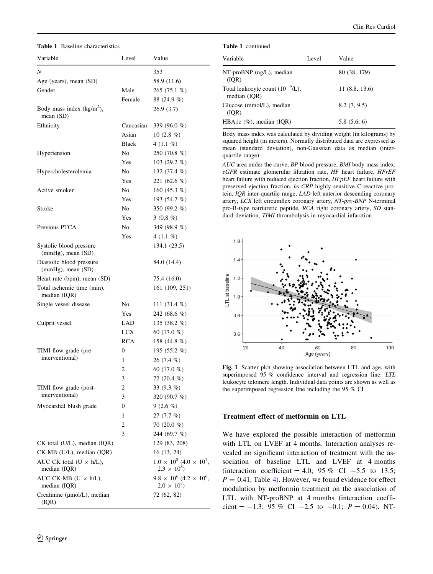<span id="page-3-0"></span>Table 1 Baseline characteristics

| Variable                                        | Level        | Value                                                       |
|-------------------------------------------------|--------------|-------------------------------------------------------------|
| Ν                                               |              | 353                                                         |
| Age (years), mean (SD)                          |              | 58.9 (11.6)                                                 |
| Gender                                          | Male         | 265 (75.1 %)                                                |
|                                                 | Female       | 88 (24.9 %)                                                 |
| Body mass index $(kg/m2)$ ,<br>mean (SD)        |              | 26.9(3.7)                                                   |
| Ethnicity                                       | Caucasian    | 339 (96.0 %)                                                |
|                                                 | Asian        | 10 $(2.8\%)$                                                |
|                                                 | <b>Black</b> | 4 $(1.1\%$                                                  |
| Hypertension                                    | No.          | 250 (70.8 %)                                                |
|                                                 | Yes          | 103 (29.2 $%$ )                                             |
| Hypercholesterolemia                            | No.          | 132 (37.4 %)                                                |
|                                                 | Yes          | 221 (62.6 %)                                                |
| Active smoker                                   | No           | 160 (45.3 $%$ )                                             |
|                                                 | Yes          | 193 (54.7 %)                                                |
| Stroke                                          | No.          | 350 (99.2 %)                                                |
|                                                 | <b>Yes</b>   | 3 $(0.8\%)$                                                 |
| Previous PTCA                                   | No           | 349 (98.9 %)                                                |
|                                                 | Yes          | 4 $(1.1\%$                                                  |
| Systolic blood pressure<br>(mmHg), mean (SD)    |              | 134.1 (23.5)                                                |
| Diastolic blood pressure<br>(mmHg), mean (SD)   |              | 84.0 (14.4)                                                 |
| Heart rate (bpm), mean (SD)                     |              | 75.4 (16.0)                                                 |
| Total ischemic time (min),<br>median (IQR)      |              | 161 (109, 251)                                              |
| Single vessel disease                           | No.          | 111 (31.4 $%$ )                                             |
|                                                 | Yes          | 242 (68.6 %)                                                |
| Culprit vessel                                  | LAD          | 135 (38.2 %)                                                |
|                                                 | LCX          | 60 $(17.0\%$                                                |
|                                                 | <b>RCA</b>   | 158 (44.8 %)                                                |
| TIMI flow grade (pre-                           | 0            | 195 (55.2 %)                                                |
| interventional)                                 | 1            | $26(7.4\%)$                                                 |
|                                                 | 2            | 60 $(17.0\%$                                                |
|                                                 | 3            | 72 (20.4 %)                                                 |
| TIMI flow grade (post-                          | 2            | 33 (9.3 %)                                                  |
| interventional)                                 | 3            | 320 (90.7 %)                                                |
| Myocardial blush grade                          | 0            | $9(2.6\%)$                                                  |
|                                                 | 1            | 27(7.7%)                                                    |
|                                                 | 2            | 70 $(20.0\%$                                                |
|                                                 | 3            | 244 (69.7 %)                                                |
| CK total (U/L), median (IQR)                    |              | 129 (83, 208)                                               |
| CK-MB (U/L), median (IQR)                       |              | 16 (13, 24)                                                 |
| AUC CK total $(U \times h/L)$ ,<br>median (IQR) |              | $1.0 \times 10^8$ (4.0 $\times 10^7$ ,<br>$2.3 \times 10^8$ |
| AUC CK-MB ( $U \times h/L$ ),<br>median (IQR)   |              | $9.8 \times 10^6$ (4.2 $\times 10^6$ )<br>$2.0 \times 10^7$ |
| Creatinine (µmol/L), median<br>(IQR)            |              | 72 (62, 82)                                                 |

|  | <b>Table 1</b> continued |
|--|--------------------------|
|  |                          |

| Variable                                              | Level | Value         |
|-------------------------------------------------------|-------|---------------|
| $NT$ -pro $BNP$ (ng/L), median<br>(IOR)               |       | 80 (38, 179)  |
| Total leukocyte count $(10^{-9}/L)$ ,<br>median (IOR) |       | 11(8.8, 13.6) |
| Glucose (mmol/L), median<br>(IOR)                     |       | 8.2(7, 9.5)   |
| HBA1c $(\%)$ , median $(IQR)$                         |       | 5.8(5.6, 6)   |

Body mass index was calculated by dividing weight (in kilograms) by squared height (in meters). Normally distributed data are expressed as mean (standard deviation), non-Gaussian data as median (interquartile range)

AUC area under the curve, BP blood pressure, BMI body mass index,  $eGFR$  estimate glomerular filtration rate,  $HF$  heart failure,  $HFrEF$ heart failure with reduced ejection fraction, HFpEF heart failure with preserved ejection fraction, hs-CRP highly sensitive C-reactive protein, IQR inter-quartile range, LAD left anterior descending coronary artery, LCX left circumflex coronary artery, NT-pro-BNP N-terminal pro-B-type natriuretic peptide, RCA right coronary artery, SD standard deviation, TIMI thrombolysis in myocardial infarction



Fig. 1 Scatter plot showing association between LTL and age, with superimposed 95 % confidence interval and regression line. LTL leukocyte telomere length. Individual data points are shown as well as the superimposed regression line including the 95 % CI

## Treatment effect of metformin on LTL

We have explored the possible interaction of metformin with LTL on LVEF at 4 months. Interaction analyses revealed no significant interaction of treatment with the association of baseline LTL and LVEF at 4 months (interaction coefficient = 4.0; 95 % CI  $-5.5$  to 13.5;  $P = 0.41$  $P = 0.41$  $P = 0.41$ , Table 4). However, we found evidence for effect modulation by metformin treatment on the association of LTL with NT-proBNP at 4 months (interaction coefficient =  $-1.3$ ; 95 % CI  $-2.5$  to  $-0.1$ ;  $P = 0.04$ ). NT-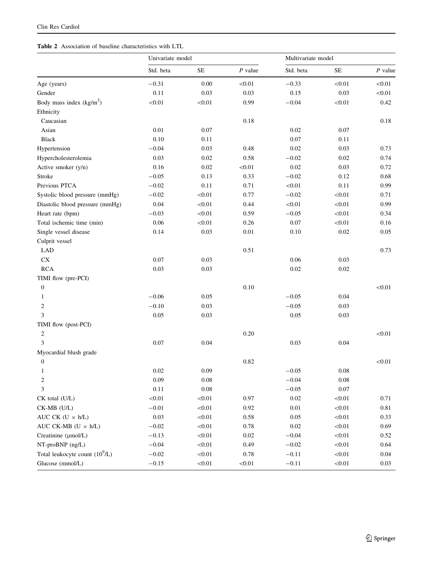# <span id="page-4-0"></span>Table 2 Association of baseline characteristics with LTL

| Std. beta<br>$\rm SE$<br>Std. beta<br>$\rm SE$<br>$P$ value<br>$P$ value<br>$-0.31$<br>0.00<br>< 0.01<br>$-0.33$<br>< 0.01<br>< 0.01<br>Age (years)<br>0.11<br>0.03<br>0.15<br>0.03<br>Gender<br>0.03<br>< 0.01<br>Body mass index $(kg/m2)$<br>< 0.01<br>$-0.04$<br>< 0.01<br>< 0.01<br>0.99<br>0.42<br>Ethnicity<br>0.18<br>Caucasian<br>0.18<br>Asian<br>0.01<br>0.07<br>0.02<br>0.07<br>0.10<br>0.07<br><b>Black</b><br>0.11<br>0.11<br>$-0.04$<br>0.03<br>0.48<br>0.02<br>0.03<br>0.73<br>Hypertension<br>0.03<br>$-0.02$<br>Hypercholesterolemia<br>0.02<br>0.58<br>0.02<br>0.74<br>0.02<br>Active smoker (y/n)<br>0.16<br>0.02<br>< 0.01<br>0.03<br>0.72<br>Stroke<br>$-0.05$<br>0.13<br>0.33<br>$-0.02$<br>0.12<br>0.68<br>0.11<br>Previous PTCA<br>$-0.02$<br>0.11<br>0.71<br>< 0.01<br>0.99<br>0.77<br>Systolic blood pressure (mmHg)<br>$-0.02$<br>< 0.01<br>$-0.02$<br>< 0.01<br>0.71<br>0.04<br>Diastolic blood pressure (mmHg)<br>< 0.01<br>0.44<br>< 0.01<br>< 0.01<br>0.99<br>Heart rate (bpm)<br>$-0.03$<br>< 0.01<br>0.59<br>$-0.05$<br>< 0.01<br>0.34<br>0.06<br>0.07<br>Total ischemic time (min)<br>< 0.01<br>0.26<br>< 0.01<br>0.16<br>0.03<br>0.01<br>0.02<br>Single vessel disease<br>0.14<br>0.10<br>0.05<br>Culprit vessel<br>0.51<br><b>LAD</b><br>0.73<br>${\rm CX}$<br>0.07<br>0.03<br>0.06<br>0.03<br><b>RCA</b><br>0.03<br>0.03<br>0.02<br>0.02<br>TIMI flow (pre-PCI)<br>0.10<br>< 0.01<br>$\boldsymbol{0}$<br>$-0.06$<br>0.05<br>$-0.05$<br>0.04<br>$\mathbf{1}$<br>0.03<br>$-0.05$<br>0.03<br>$\overline{c}$<br>$-0.10$<br>3<br>0.05<br>0.03<br>0.05<br>0.03<br>TIMI flow (post-PCI)<br>0.20<br>< 0.01<br>$\overline{c}$<br>3<br>0.07<br>0.04<br>0.03<br>0.04<br>Myocardial blush grade<br>0.82<br>< 0.01<br>$\boldsymbol{0}$<br>0.02<br>0.09<br>$-0.05$<br>0.08<br>1<br>0.09<br>$0.08\,$<br>$-0.04$<br>$0.08\,$<br>2<br>0.11<br>$0.08\,$<br>$-0.05$<br>0.07<br>3<br>$<\!\!0.01$<br>0.97<br>0.02<br>$<0.01$<br>< 0.01<br>0.71<br>CK total (U/L)<br>$CK-MB$ (U/L)<br>$-0.01$<br>< 0.01<br>0.92<br>$0.01\,$<br>< 0.01<br>$0.81\,$<br>AUC CK $(U \times h/L)$<br>0.03<br>$0.58\,$<br>0.05<br>$<\!\!0.01$<br>< 0.01<br>0.33<br>AUC CK-MB ( $U \times h/L$ )<br>$-0.02$<br>$<0.01$<br>$0.78\,$<br>$0.02\,$<br>$<\!\!0.01$<br>0.69<br>Creatinine (µmol/L)<br>$-0.13$<br>< 0.01<br>$0.02\,$<br>$-0.04$<br>$<\!\!0.01$<br>0.52<br>NT-proBNP (ng/L)<br>$-0.04$<br>< 0.01<br>0.49<br>$-0.02$<br>$<\!\!0.01$<br>0.64<br>Total leukocyte count $(10^9/L)$<br>$-0.02$<br>< 0.01<br>0.78<br>$-0.11$<br>$<\!\!0.01$<br>0.04<br>Glucose (mmol/L)<br>$-0.15$<br>< 0.01<br>$<\!\!0.01$<br>$-0.11$<br>$<\!\!0.01$<br>$0.03\,$ | Univariate model |  |  | Multivariate model |  |  |  |
|----------------------------------------------------------------------------------------------------------------------------------------------------------------------------------------------------------------------------------------------------------------------------------------------------------------------------------------------------------------------------------------------------------------------------------------------------------------------------------------------------------------------------------------------------------------------------------------------------------------------------------------------------------------------------------------------------------------------------------------------------------------------------------------------------------------------------------------------------------------------------------------------------------------------------------------------------------------------------------------------------------------------------------------------------------------------------------------------------------------------------------------------------------------------------------------------------------------------------------------------------------------------------------------------------------------------------------------------------------------------------------------------------------------------------------------------------------------------------------------------------------------------------------------------------------------------------------------------------------------------------------------------------------------------------------------------------------------------------------------------------------------------------------------------------------------------------------------------------------------------------------------------------------------------------------------------------------------------------------------------------------------------------------------------------------------------------------------------------------------------------------------------------------------------------------------------------------------------------------------------------------------------------------------------------------------------------------------------------------------------------------------------------------------------------------------------------------------------------------------------------------------------------------------------------------------------------------------------------------------------------------------------|------------------|--|--|--------------------|--|--|--|
|                                                                                                                                                                                                                                                                                                                                                                                                                                                                                                                                                                                                                                                                                                                                                                                                                                                                                                                                                                                                                                                                                                                                                                                                                                                                                                                                                                                                                                                                                                                                                                                                                                                                                                                                                                                                                                                                                                                                                                                                                                                                                                                                                                                                                                                                                                                                                                                                                                                                                                                                                                                                                                              |                  |  |  |                    |  |  |  |
|                                                                                                                                                                                                                                                                                                                                                                                                                                                                                                                                                                                                                                                                                                                                                                                                                                                                                                                                                                                                                                                                                                                                                                                                                                                                                                                                                                                                                                                                                                                                                                                                                                                                                                                                                                                                                                                                                                                                                                                                                                                                                                                                                                                                                                                                                                                                                                                                                                                                                                                                                                                                                                              |                  |  |  |                    |  |  |  |
|                                                                                                                                                                                                                                                                                                                                                                                                                                                                                                                                                                                                                                                                                                                                                                                                                                                                                                                                                                                                                                                                                                                                                                                                                                                                                                                                                                                                                                                                                                                                                                                                                                                                                                                                                                                                                                                                                                                                                                                                                                                                                                                                                                                                                                                                                                                                                                                                                                                                                                                                                                                                                                              |                  |  |  |                    |  |  |  |
|                                                                                                                                                                                                                                                                                                                                                                                                                                                                                                                                                                                                                                                                                                                                                                                                                                                                                                                                                                                                                                                                                                                                                                                                                                                                                                                                                                                                                                                                                                                                                                                                                                                                                                                                                                                                                                                                                                                                                                                                                                                                                                                                                                                                                                                                                                                                                                                                                                                                                                                                                                                                                                              |                  |  |  |                    |  |  |  |
|                                                                                                                                                                                                                                                                                                                                                                                                                                                                                                                                                                                                                                                                                                                                                                                                                                                                                                                                                                                                                                                                                                                                                                                                                                                                                                                                                                                                                                                                                                                                                                                                                                                                                                                                                                                                                                                                                                                                                                                                                                                                                                                                                                                                                                                                                                                                                                                                                                                                                                                                                                                                                                              |                  |  |  |                    |  |  |  |
|                                                                                                                                                                                                                                                                                                                                                                                                                                                                                                                                                                                                                                                                                                                                                                                                                                                                                                                                                                                                                                                                                                                                                                                                                                                                                                                                                                                                                                                                                                                                                                                                                                                                                                                                                                                                                                                                                                                                                                                                                                                                                                                                                                                                                                                                                                                                                                                                                                                                                                                                                                                                                                              |                  |  |  |                    |  |  |  |
|                                                                                                                                                                                                                                                                                                                                                                                                                                                                                                                                                                                                                                                                                                                                                                                                                                                                                                                                                                                                                                                                                                                                                                                                                                                                                                                                                                                                                                                                                                                                                                                                                                                                                                                                                                                                                                                                                                                                                                                                                                                                                                                                                                                                                                                                                                                                                                                                                                                                                                                                                                                                                                              |                  |  |  |                    |  |  |  |
|                                                                                                                                                                                                                                                                                                                                                                                                                                                                                                                                                                                                                                                                                                                                                                                                                                                                                                                                                                                                                                                                                                                                                                                                                                                                                                                                                                                                                                                                                                                                                                                                                                                                                                                                                                                                                                                                                                                                                                                                                                                                                                                                                                                                                                                                                                                                                                                                                                                                                                                                                                                                                                              |                  |  |  |                    |  |  |  |
|                                                                                                                                                                                                                                                                                                                                                                                                                                                                                                                                                                                                                                                                                                                                                                                                                                                                                                                                                                                                                                                                                                                                                                                                                                                                                                                                                                                                                                                                                                                                                                                                                                                                                                                                                                                                                                                                                                                                                                                                                                                                                                                                                                                                                                                                                                                                                                                                                                                                                                                                                                                                                                              |                  |  |  |                    |  |  |  |
|                                                                                                                                                                                                                                                                                                                                                                                                                                                                                                                                                                                                                                                                                                                                                                                                                                                                                                                                                                                                                                                                                                                                                                                                                                                                                                                                                                                                                                                                                                                                                                                                                                                                                                                                                                                                                                                                                                                                                                                                                                                                                                                                                                                                                                                                                                                                                                                                                                                                                                                                                                                                                                              |                  |  |  |                    |  |  |  |
|                                                                                                                                                                                                                                                                                                                                                                                                                                                                                                                                                                                                                                                                                                                                                                                                                                                                                                                                                                                                                                                                                                                                                                                                                                                                                                                                                                                                                                                                                                                                                                                                                                                                                                                                                                                                                                                                                                                                                                                                                                                                                                                                                                                                                                                                                                                                                                                                                                                                                                                                                                                                                                              |                  |  |  |                    |  |  |  |
|                                                                                                                                                                                                                                                                                                                                                                                                                                                                                                                                                                                                                                                                                                                                                                                                                                                                                                                                                                                                                                                                                                                                                                                                                                                                                                                                                                                                                                                                                                                                                                                                                                                                                                                                                                                                                                                                                                                                                                                                                                                                                                                                                                                                                                                                                                                                                                                                                                                                                                                                                                                                                                              |                  |  |  |                    |  |  |  |
|                                                                                                                                                                                                                                                                                                                                                                                                                                                                                                                                                                                                                                                                                                                                                                                                                                                                                                                                                                                                                                                                                                                                                                                                                                                                                                                                                                                                                                                                                                                                                                                                                                                                                                                                                                                                                                                                                                                                                                                                                                                                                                                                                                                                                                                                                                                                                                                                                                                                                                                                                                                                                                              |                  |  |  |                    |  |  |  |
|                                                                                                                                                                                                                                                                                                                                                                                                                                                                                                                                                                                                                                                                                                                                                                                                                                                                                                                                                                                                                                                                                                                                                                                                                                                                                                                                                                                                                                                                                                                                                                                                                                                                                                                                                                                                                                                                                                                                                                                                                                                                                                                                                                                                                                                                                                                                                                                                                                                                                                                                                                                                                                              |                  |  |  |                    |  |  |  |
|                                                                                                                                                                                                                                                                                                                                                                                                                                                                                                                                                                                                                                                                                                                                                                                                                                                                                                                                                                                                                                                                                                                                                                                                                                                                                                                                                                                                                                                                                                                                                                                                                                                                                                                                                                                                                                                                                                                                                                                                                                                                                                                                                                                                                                                                                                                                                                                                                                                                                                                                                                                                                                              |                  |  |  |                    |  |  |  |
|                                                                                                                                                                                                                                                                                                                                                                                                                                                                                                                                                                                                                                                                                                                                                                                                                                                                                                                                                                                                                                                                                                                                                                                                                                                                                                                                                                                                                                                                                                                                                                                                                                                                                                                                                                                                                                                                                                                                                                                                                                                                                                                                                                                                                                                                                                                                                                                                                                                                                                                                                                                                                                              |                  |  |  |                    |  |  |  |
|                                                                                                                                                                                                                                                                                                                                                                                                                                                                                                                                                                                                                                                                                                                                                                                                                                                                                                                                                                                                                                                                                                                                                                                                                                                                                                                                                                                                                                                                                                                                                                                                                                                                                                                                                                                                                                                                                                                                                                                                                                                                                                                                                                                                                                                                                                                                                                                                                                                                                                                                                                                                                                              |                  |  |  |                    |  |  |  |
|                                                                                                                                                                                                                                                                                                                                                                                                                                                                                                                                                                                                                                                                                                                                                                                                                                                                                                                                                                                                                                                                                                                                                                                                                                                                                                                                                                                                                                                                                                                                                                                                                                                                                                                                                                                                                                                                                                                                                                                                                                                                                                                                                                                                                                                                                                                                                                                                                                                                                                                                                                                                                                              |                  |  |  |                    |  |  |  |
|                                                                                                                                                                                                                                                                                                                                                                                                                                                                                                                                                                                                                                                                                                                                                                                                                                                                                                                                                                                                                                                                                                                                                                                                                                                                                                                                                                                                                                                                                                                                                                                                                                                                                                                                                                                                                                                                                                                                                                                                                                                                                                                                                                                                                                                                                                                                                                                                                                                                                                                                                                                                                                              |                  |  |  |                    |  |  |  |
|                                                                                                                                                                                                                                                                                                                                                                                                                                                                                                                                                                                                                                                                                                                                                                                                                                                                                                                                                                                                                                                                                                                                                                                                                                                                                                                                                                                                                                                                                                                                                                                                                                                                                                                                                                                                                                                                                                                                                                                                                                                                                                                                                                                                                                                                                                                                                                                                                                                                                                                                                                                                                                              |                  |  |  |                    |  |  |  |
|                                                                                                                                                                                                                                                                                                                                                                                                                                                                                                                                                                                                                                                                                                                                                                                                                                                                                                                                                                                                                                                                                                                                                                                                                                                                                                                                                                                                                                                                                                                                                                                                                                                                                                                                                                                                                                                                                                                                                                                                                                                                                                                                                                                                                                                                                                                                                                                                                                                                                                                                                                                                                                              |                  |  |  |                    |  |  |  |
|                                                                                                                                                                                                                                                                                                                                                                                                                                                                                                                                                                                                                                                                                                                                                                                                                                                                                                                                                                                                                                                                                                                                                                                                                                                                                                                                                                                                                                                                                                                                                                                                                                                                                                                                                                                                                                                                                                                                                                                                                                                                                                                                                                                                                                                                                                                                                                                                                                                                                                                                                                                                                                              |                  |  |  |                    |  |  |  |
|                                                                                                                                                                                                                                                                                                                                                                                                                                                                                                                                                                                                                                                                                                                                                                                                                                                                                                                                                                                                                                                                                                                                                                                                                                                                                                                                                                                                                                                                                                                                                                                                                                                                                                                                                                                                                                                                                                                                                                                                                                                                                                                                                                                                                                                                                                                                                                                                                                                                                                                                                                                                                                              |                  |  |  |                    |  |  |  |
|                                                                                                                                                                                                                                                                                                                                                                                                                                                                                                                                                                                                                                                                                                                                                                                                                                                                                                                                                                                                                                                                                                                                                                                                                                                                                                                                                                                                                                                                                                                                                                                                                                                                                                                                                                                                                                                                                                                                                                                                                                                                                                                                                                                                                                                                                                                                                                                                                                                                                                                                                                                                                                              |                  |  |  |                    |  |  |  |
|                                                                                                                                                                                                                                                                                                                                                                                                                                                                                                                                                                                                                                                                                                                                                                                                                                                                                                                                                                                                                                                                                                                                                                                                                                                                                                                                                                                                                                                                                                                                                                                                                                                                                                                                                                                                                                                                                                                                                                                                                                                                                                                                                                                                                                                                                                                                                                                                                                                                                                                                                                                                                                              |                  |  |  |                    |  |  |  |
|                                                                                                                                                                                                                                                                                                                                                                                                                                                                                                                                                                                                                                                                                                                                                                                                                                                                                                                                                                                                                                                                                                                                                                                                                                                                                                                                                                                                                                                                                                                                                                                                                                                                                                                                                                                                                                                                                                                                                                                                                                                                                                                                                                                                                                                                                                                                                                                                                                                                                                                                                                                                                                              |                  |  |  |                    |  |  |  |
|                                                                                                                                                                                                                                                                                                                                                                                                                                                                                                                                                                                                                                                                                                                                                                                                                                                                                                                                                                                                                                                                                                                                                                                                                                                                                                                                                                                                                                                                                                                                                                                                                                                                                                                                                                                                                                                                                                                                                                                                                                                                                                                                                                                                                                                                                                                                                                                                                                                                                                                                                                                                                                              |                  |  |  |                    |  |  |  |
|                                                                                                                                                                                                                                                                                                                                                                                                                                                                                                                                                                                                                                                                                                                                                                                                                                                                                                                                                                                                                                                                                                                                                                                                                                                                                                                                                                                                                                                                                                                                                                                                                                                                                                                                                                                                                                                                                                                                                                                                                                                                                                                                                                                                                                                                                                                                                                                                                                                                                                                                                                                                                                              |                  |  |  |                    |  |  |  |
|                                                                                                                                                                                                                                                                                                                                                                                                                                                                                                                                                                                                                                                                                                                                                                                                                                                                                                                                                                                                                                                                                                                                                                                                                                                                                                                                                                                                                                                                                                                                                                                                                                                                                                                                                                                                                                                                                                                                                                                                                                                                                                                                                                                                                                                                                                                                                                                                                                                                                                                                                                                                                                              |                  |  |  |                    |  |  |  |
|                                                                                                                                                                                                                                                                                                                                                                                                                                                                                                                                                                                                                                                                                                                                                                                                                                                                                                                                                                                                                                                                                                                                                                                                                                                                                                                                                                                                                                                                                                                                                                                                                                                                                                                                                                                                                                                                                                                                                                                                                                                                                                                                                                                                                                                                                                                                                                                                                                                                                                                                                                                                                                              |                  |  |  |                    |  |  |  |
|                                                                                                                                                                                                                                                                                                                                                                                                                                                                                                                                                                                                                                                                                                                                                                                                                                                                                                                                                                                                                                                                                                                                                                                                                                                                                                                                                                                                                                                                                                                                                                                                                                                                                                                                                                                                                                                                                                                                                                                                                                                                                                                                                                                                                                                                                                                                                                                                                                                                                                                                                                                                                                              |                  |  |  |                    |  |  |  |
|                                                                                                                                                                                                                                                                                                                                                                                                                                                                                                                                                                                                                                                                                                                                                                                                                                                                                                                                                                                                                                                                                                                                                                                                                                                                                                                                                                                                                                                                                                                                                                                                                                                                                                                                                                                                                                                                                                                                                                                                                                                                                                                                                                                                                                                                                                                                                                                                                                                                                                                                                                                                                                              |                  |  |  |                    |  |  |  |
|                                                                                                                                                                                                                                                                                                                                                                                                                                                                                                                                                                                                                                                                                                                                                                                                                                                                                                                                                                                                                                                                                                                                                                                                                                                                                                                                                                                                                                                                                                                                                                                                                                                                                                                                                                                                                                                                                                                                                                                                                                                                                                                                                                                                                                                                                                                                                                                                                                                                                                                                                                                                                                              |                  |  |  |                    |  |  |  |
|                                                                                                                                                                                                                                                                                                                                                                                                                                                                                                                                                                                                                                                                                                                                                                                                                                                                                                                                                                                                                                                                                                                                                                                                                                                                                                                                                                                                                                                                                                                                                                                                                                                                                                                                                                                                                                                                                                                                                                                                                                                                                                                                                                                                                                                                                                                                                                                                                                                                                                                                                                                                                                              |                  |  |  |                    |  |  |  |
|                                                                                                                                                                                                                                                                                                                                                                                                                                                                                                                                                                                                                                                                                                                                                                                                                                                                                                                                                                                                                                                                                                                                                                                                                                                                                                                                                                                                                                                                                                                                                                                                                                                                                                                                                                                                                                                                                                                                                                                                                                                                                                                                                                                                                                                                                                                                                                                                                                                                                                                                                                                                                                              |                  |  |  |                    |  |  |  |
|                                                                                                                                                                                                                                                                                                                                                                                                                                                                                                                                                                                                                                                                                                                                                                                                                                                                                                                                                                                                                                                                                                                                                                                                                                                                                                                                                                                                                                                                                                                                                                                                                                                                                                                                                                                                                                                                                                                                                                                                                                                                                                                                                                                                                                                                                                                                                                                                                                                                                                                                                                                                                                              |                  |  |  |                    |  |  |  |
|                                                                                                                                                                                                                                                                                                                                                                                                                                                                                                                                                                                                                                                                                                                                                                                                                                                                                                                                                                                                                                                                                                                                                                                                                                                                                                                                                                                                                                                                                                                                                                                                                                                                                                                                                                                                                                                                                                                                                                                                                                                                                                                                                                                                                                                                                                                                                                                                                                                                                                                                                                                                                                              |                  |  |  |                    |  |  |  |
|                                                                                                                                                                                                                                                                                                                                                                                                                                                                                                                                                                                                                                                                                                                                                                                                                                                                                                                                                                                                                                                                                                                                                                                                                                                                                                                                                                                                                                                                                                                                                                                                                                                                                                                                                                                                                                                                                                                                                                                                                                                                                                                                                                                                                                                                                                                                                                                                                                                                                                                                                                                                                                              |                  |  |  |                    |  |  |  |
|                                                                                                                                                                                                                                                                                                                                                                                                                                                                                                                                                                                                                                                                                                                                                                                                                                                                                                                                                                                                                                                                                                                                                                                                                                                                                                                                                                                                                                                                                                                                                                                                                                                                                                                                                                                                                                                                                                                                                                                                                                                                                                                                                                                                                                                                                                                                                                                                                                                                                                                                                                                                                                              |                  |  |  |                    |  |  |  |
|                                                                                                                                                                                                                                                                                                                                                                                                                                                                                                                                                                                                                                                                                                                                                                                                                                                                                                                                                                                                                                                                                                                                                                                                                                                                                                                                                                                                                                                                                                                                                                                                                                                                                                                                                                                                                                                                                                                                                                                                                                                                                                                                                                                                                                                                                                                                                                                                                                                                                                                                                                                                                                              |                  |  |  |                    |  |  |  |
|                                                                                                                                                                                                                                                                                                                                                                                                                                                                                                                                                                                                                                                                                                                                                                                                                                                                                                                                                                                                                                                                                                                                                                                                                                                                                                                                                                                                                                                                                                                                                                                                                                                                                                                                                                                                                                                                                                                                                                                                                                                                                                                                                                                                                                                                                                                                                                                                                                                                                                                                                                                                                                              |                  |  |  |                    |  |  |  |
|                                                                                                                                                                                                                                                                                                                                                                                                                                                                                                                                                                                                                                                                                                                                                                                                                                                                                                                                                                                                                                                                                                                                                                                                                                                                                                                                                                                                                                                                                                                                                                                                                                                                                                                                                                                                                                                                                                                                                                                                                                                                                                                                                                                                                                                                                                                                                                                                                                                                                                                                                                                                                                              |                  |  |  |                    |  |  |  |
|                                                                                                                                                                                                                                                                                                                                                                                                                                                                                                                                                                                                                                                                                                                                                                                                                                                                                                                                                                                                                                                                                                                                                                                                                                                                                                                                                                                                                                                                                                                                                                                                                                                                                                                                                                                                                                                                                                                                                                                                                                                                                                                                                                                                                                                                                                                                                                                                                                                                                                                                                                                                                                              |                  |  |  |                    |  |  |  |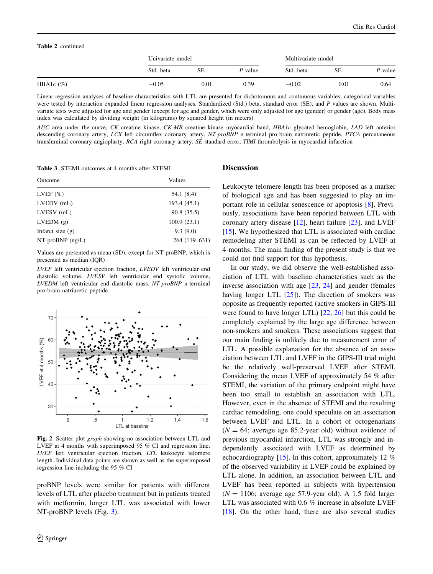#### <span id="page-5-0"></span>Table 2 continued

|              | Univariate model |      |           | Multivariate model |           |           |
|--------------|------------------|------|-----------|--------------------|-----------|-----------|
|              | Std. beta        | SЕ   | $P$ value | Std. beta          | <b>SE</b> | $P$ value |
| HBA1c $(\%)$ | $-0.05$          | 0.01 | 0.39      | $-0.02$            | 0.01      | 0.64      |

Linear regression analyses of baseline characteristics with LTL are presented for dichotomous and continuous variables; categorical variables were tested by interaction expanded linear regression analyses. Standardized (Std.) beta, standard error (SE), and P values are shown. Multivariate tests were adjusted for age and gender (except for age and gender, which were only adjusted for age (gender) or gender (age). Body mass index was calculated by dividing weight (in kilograms) by squared height (in meters)

AUC area under the curve, CK creatine kinase, CK-MB creatine kinase myocardial band, HBA1c glycated hemoglobin, LAD left anterior descending coronary artery, LCX left circumflex coronary artery, NT-proBNP n-terminal pro-brain natriuretic peptide, PTCA percutaneous transluminal coronary angioplasty, RCA right coronary artery, SE standard error, TIMI thrombolysis in myocardial infarction

Table 3 STEMI outcomes at 4 months after STEMI

| Outcome            | Values        |  |  |  |
|--------------------|---------------|--|--|--|
| LVEF $(\%)$        | 54.1 (8.4)    |  |  |  |
| $LVEDV$ (mL)       | 193.4 (45.1)  |  |  |  |
| $LVESV$ (mL)       | 90.8 (35.5)   |  |  |  |
| LVEDM(g)           | 100.9(23.1)   |  |  |  |
| Infarct size $(g)$ | 9.3(9.0)      |  |  |  |
| $NT-proBNP$ (ng/L) | 264 (119-631) |  |  |  |

Values are presented as mean (SD), except for NT-proBNP, which is presented as median (IQR)

LVEF left ventricular ejection fraction, LVEDV left ventricular end diastolic volume, LVESV left ventricular end systolic volume, LVEDM left ventricular end diastolic mass, NT-proBNP n-terminal pro-brain natriuretic peptide



Fig. 2 Scatter plot graph showing no association between LTL and LVEF at 4 months with superimposed 95 % CI and regression line. LVEF left ventricular ejection fraction, LTL leukocyte telomere length. Individual data points are shown as well as the superimposed regression line including the 95 % CI

proBNP levels were similar for patients with different levels of LTL after placebo treatment but in patients treated with metformin, longer LTL was associated with lower NT-proBNP levels (Fig. [3\)](#page-6-0).

#### **Discussion**

Leukocyte telomere length has been proposed as a marker of biological age and has been suggested to play an important role in cellular senescence or apoptosis [[8\]](#page-8-0). Previously, associations have been reported between LTL with coronary artery disease [\[12](#page-8-0)], heart failure [\[23](#page-8-0)], and LVEF [\[15](#page-8-0)]. We hypothesized that LTL is associated with cardiac remodeling after STEMI as can be reflected by LVEF at 4 months. The main finding of the present study is that we could not find support for this hypothesis.

In our study, we did observe the well-established association of LTL with baseline characteristics such as the inverse association with age [\[23](#page-8-0), [24](#page-8-0)] and gender (females having longer LTL  $[25]$  $[25]$ . The direction of smokers was opposite as frequently reported (active smokers in GIPS-III were found to have longer LTL) [\[22](#page-8-0), [26\]](#page-8-0) but this could be completely explained by the large age difference between non-smokers and smokers. These associations suggest that our main finding is unlikely due to measurement error of LTL. A possible explanation for the absence of an association between LTL and LVEF in the GIPS-III trial might be the relatively well-preserved LVEF after STEMI. Considering the mean LVEF of approximately 54 % after STEMI, the variation of the primary endpoint might have been too small to establish an association with LTL. However, even in the absence of STEMI and the resulting cardiac remodeling, one could speculate on an association between LVEF and LTL. In a cohort of octogenarians  $(N = 64$ ; average age 85.2-year old) without evidence of previous myocardial infarction, LTL was strongly and independently associated with LVEF as determined by echocardiography [\[15](#page-8-0)]. In this cohort, approximately 12 % of the observed variability in LVEF could be explained by LTL alone. In addition, an association between LTL and LVEF has been reported in subjects with hypertension  $(N = 1106;$  average age 57.9-year old). A 1.5 fold larger LTL was associated with 0.6 % increase in absolute LVEF [\[18](#page-8-0)]. On the other hand, there are also several studies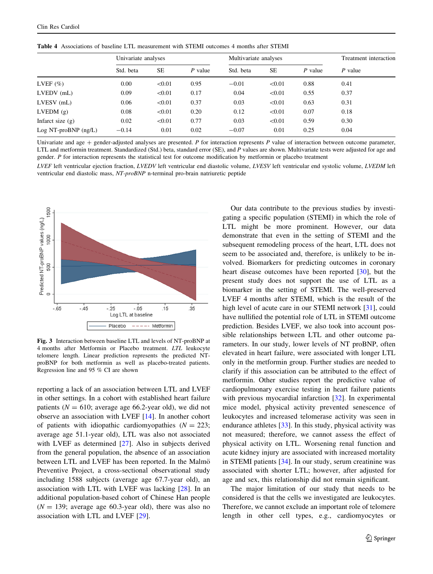| <b>THEIR T</b> TREVINIUMS OF CHRISTING ETERMINIUM WILL STERIT CHROMINS THROBINS HIGH STERIT |                     |        |         |                       |        |         |                       |  |
|---------------------------------------------------------------------------------------------|---------------------|--------|---------|-----------------------|--------|---------|-----------------------|--|
|                                                                                             | Univariate analyses |        |         | Multivariate analyses |        |         | Treatment interaction |  |
|                                                                                             | Std. beta           | SE.    | P value | Std. beta             | SE     | P value | P value               |  |
| LVEF $(\% )$                                                                                | 0.00                | < 0.01 | 0.95    | $-0.01$               | < 0.01 | 0.88    | 0.41                  |  |
| $LVEDV$ (mL)                                                                                | 0.09                | < 0.01 | 0.17    | 0.04                  | < 0.01 | 0.55    | 0.37                  |  |
| $LVESV$ (mL)                                                                                | 0.06                | < 0.01 | 0.37    | 0.03                  | < 0.01 | 0.63    | 0.31                  |  |
| LVEDM(g)                                                                                    | 0.08                | < 0.01 | 0.20    | 0.12                  | < 0.01 | 0.07    | 0.18                  |  |
| Infarct size $(g)$                                                                          | 0.02                | < 0.01 | 0.77    | 0.03                  | < 0.01 | 0.59    | 0.30                  |  |
| $Log NT-proBNP$ (ng/L)                                                                      | $-0.14$             | 0.01   | 0.02    | $-0.07$               | 0.01   | 0.25    | 0.04                  |  |

<span id="page-6-0"></span>Table 4 Associations of baseline LTL measurement with STEMI outcomes 4 months after STEMI

Univariate and age  $+$  gender-adjusted analyses are presented. P for interaction represents P value of interaction between outcome parameter, LTL and metformin treatment. Standardized (Std.) beta, standard error (SE), and P values are shown. Multivariate tests were adjusted for age and gender. P for interaction represents the statistical test for outcome modification by metformin or placebo treatment

LVEF left ventricular ejection fraction, LVEDV left ventricular end diastolic volume, LVESV left ventricular end systolic volume, LVEDM left ventricular end diastolic mass, NT-proBNP n-terminal pro-brain natriuretic peptide



Fig. 3 Interaction between baseline LTL and levels of NT-proBNP at 4 months after Metformin or Placebo treatment. LTL leukocyte telomere length. Linear prediction represents the predicted NTproBNP for both metformin as well as placebo-treated patients. Regression line and 95 % CI are shown

reporting a lack of an association between LTL and LVEF in other settings. In a cohort with established heart failure patients ( $N = 610$ ; average age 66.2-year old), we did not observe an association with LVEF [\[14](#page-8-0)]. In another cohort of patients with idiopathic cardiomyopathies  $(N = 223)$ ; average age 51.1-year old), LTL was also not associated with LVEF as determined [\[27](#page-8-0)]. Also in subjects derived from the general population, the absence of an association between LTL and LVEF has been reported. In the Malmö Preventive Project, a cross-sectional observational study including 1588 subjects (average age 67.7-year old), an association with LTL with LVEF was lacking [\[28](#page-8-0)]. In an additional population-based cohort of Chinese Han people  $(N = 139)$ ; average age 60.3-year old), there was also no association with LTL and LVEF [\[29](#page-8-0)].

Our data contribute to the previous studies by investigating a specific population (STEMI) in which the role of LTL might be more prominent. However, our data demonstrate that even in the setting of STEMI and the subsequent remodeling process of the heart, LTL does not seem to be associated and, therefore, is unlikely to be involved. Biomarkers for predicting outcomes in coronary heart disease outcomes have been reported [[30\]](#page-8-0), but the present study does not support the use of LTL as a biomarker in the setting of STEMI. The well-preserved LVEF 4 months after STEMI, which is the result of the high level of acute care in our STEMI network [\[31](#page-8-0)], could have nullified the potential role of LTL in STEMI outcome prediction. Besides LVEF, we also took into account possible relationships between LTL and other outcome parameters. In our study, lower levels of NT proBNP, often elevated in heart failure, were associated with longer LTL only in the metformin group. Further studies are needed to clarify if this association can be attributed to the effect of metformin. Other studies report the predictive value of cardiopulmonary exercise testing in heart failure patients with previous myocardial infarction [\[32](#page-8-0)]. In experimental mice model, physical activity prevented senescence of leukocytes and increased telomerase activity was seen in endurance athletes [[33\]](#page-8-0). In this study, physical activity was not measured; therefore, we cannot assess the effect of physical activity on LTL. Worsening renal function and acute kidney injury are associated with increased mortality in STEMI patients [[34\]](#page-9-0). In our study, serum creatinine was associated with shorter LTL; however, after adjusted for age and sex, this relationship did not remain significant.

The major limitation of our study that needs to be considered is that the cells we investigated are leukocytes. Therefore, we cannot exclude an important role of telomere length in other cell types, e.g., cardiomyocytes or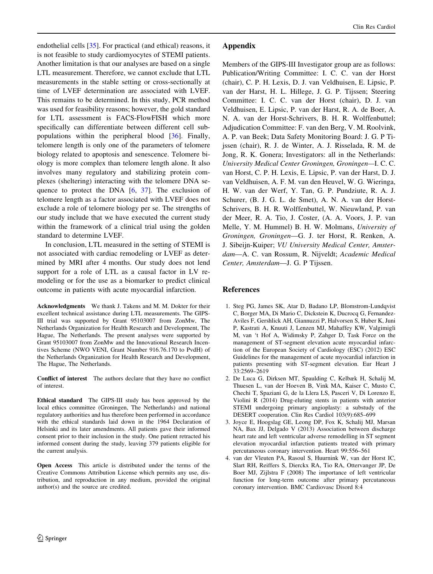<span id="page-7-0"></span>endothelial cells [[35\]](#page-9-0). For practical (and ethical) reasons, it is not feasible to study cardiomyocytes of STEMI patients. Another limitation is that our analyses are based on a single LTL measurement. Therefore, we cannot exclude that LTL measurements in the stable setting or cross-sectionally at time of LVEF determination are associated with LVEF. This remains to be determined. In this study, PCR method was used for feasibility reasons; however, the gold standard for LTL assessment is FACS-FlowFISH which more specifically can differentiate between different cell subpopulations within the peripheral blood [[36\]](#page-9-0). Finally, telomere length is only one of the parameters of telomere biology related to apoptosis and senescence. Telomere biology is more complex than telomere length alone. It also involves many regulatory and stabilizing protein complexes (sheltering) interacting with the telomere DNA sequence to protect the DNA  $[6, 37]$  $[6, 37]$  $[6, 37]$  $[6, 37]$ . The exclusion of telomere length as a factor associated with LVEF does not exclude a role of telomere biology per se. The strengths of our study include that we have executed the current study within the framework of a clinical trial using the golden standard to determine LVEF.

In conclusion, LTL measured in the setting of STEMI is not associated with cardiac remodeling or LVEF as determined by MRI after 4 months. Our study does not lend support for a role of LTL as a causal factor in LV remodeling or for the use as a biomarker to predict clinical outcome in patients with acute myocardial infarction.

Acknowledgments We thank J. Takens and M. M. Dokter for their excellent technical assistance during LTL measurements. The GIPS-III trial was supported by Grant 95103007 from ZonMw, The Netherlands Organization for Health Research and Development, The Hague, The Netherlands. The present analyses were supported by Grant 95103007 from ZonMw and the Innovational Research Incentives Scheme (NWO VENI, Grant Number 916.76.170 to PvdH) of the Netherlands Organization for Health Research and Development, The Hague, The Netherlands.

Conflict of interest The authors declare that they have no conflict of interest.

Ethical standard The GIPS-III study has been approved by the local ethics committee (Groningen, The Netherlands) and national regulatory authorities and has therefore been performed in accordance with the ethical standards laid down in the 1964 Declaration of Helsinki and its later amendments. All patients gave their informed consent prior to their inclusion in the study. One patient retracted his informed consent during the study, leaving 379 patients eligible for the current analysis.

Open Access This article is distributed under the terms of the Creative Commons Attribution License which permits any use, distribution, and reproduction in any medium, provided the original author(s) and the source are credited.

## Appendix

Members of the GIPS-III Investigator group are as follows: Publication/Writing Committee: I. C. C. van der Horst (chair), C. P. H. Lexis, D. J. van Veldhuisen, E. Lipsic, P. van der Harst, H. L. Hillege, J. G. P. Tijssen; Steering Committee: I. C. C. van der Horst (chair), D. J. van Veldhuisen, E. Lipsic, P. van der Harst, R. A. de Boer, A. N. A. van der Horst-Schrivers, B. H. R. Wolffenbuttel; Adjudication Committee: F. van den Berg, V. M. Roolvink, A. P. van Beek; Data Safety Monitoring Board: J. G. P Tijssen (chair), R. J. de Winter, A. J. Risselada, R. M. de Jong, R. K. Gonera; Investigators: all in the Netherlands: University Medical Center Groningen, Groningen—I. C. C. van Horst, C. P. H. Lexis, E. Lipsic, P. van der Harst, D. J. van Veldhuisen, A. F. M. van den Heuvel, W. G. Wieringa, H. W. van der Werf, Y. Tan, G. P. Pundziute, R. A. J. Schurer, (B. J. G. L. de Smet), A. N. A. van der Horst-Schrivers, B. H. R. Wolffenbuttel, W. Nieuwland, P. van der Meer, R. A. Tio, J. Coster, (A. A. Voors, J. P. van Melle, Y. M. Hummel) B. H. W. Molmans, University of Groningen, Groningen—G. J. ter Horst, R. Renken, A. J. Sibeijn-Kuiper; VU University Medical Center, Amsterdam—A. C. van Rossum, R. Nijveldt; Academic Medical Center, Amsterdam—J. G. P Tijssen.

## References

- 1. Steg PG, James SK, Atar D, Badano LP, Blomstrom-Lundqvist C, Borger MA, Di Mario C, Dickstein K, Ducrocq G, Fernandez-Aviles F, Gershlick AH, Giannuzzi P, Halvorsen S, Huber K, Juni P, Kastrati A, Knuuti J, Lenzen MJ, Mahaffey KW, Valgimigli M, van 't Hof A, Widimsky P, Zahger D, Task Force on the management of ST-segment elevation acute myocardial infarction of the European Society of Cardiology (ESC) (2012) ESC Guidelines for the management of acute myocardial infarction in patients presenting with ST-segment elevation. Eur Heart J 33:2569–2619
- 2. De Luca G, Dirksen MT, Spaulding C, Kelbæk H, Schalij M, Thuesen L, van der Hoeven B, Vink MA, Kaiser C, Musto C, Chechi T, Spaziani G, de la Llera LS, Pasceri V, Di Lorenzo E, Violini R (2014) Drug-eluting stents in patients with anterior STEMI undergoing primary angioplasty: a substudy of the DESERT cooperation. Clin Res Cardiol 103(9):685–699
- 3. Joyce E, Hoogslag GE, Leong DP, Fox K, Schalij MJ, Marsan NA, Bax JJ, Delgado V (2013) Association between discharge heart rate and left ventricular adverse remodelling in ST segment elevation myocardial infarction patients treated with primary percutaneous coronary intervention. Heart 99:556–561
- 4. van der Vleuten PA, Rasoul S, Huurnink W, van der Horst IC, Slart RH, Reiffers S, Dierckx RA, Tio RA, Ottervanger JP, De Boer MJ, Zijlstra F (2008) The importance of left ventricular function for long-term outcome after primary percutaneous coronary intervention. BMC Cardiovasc Disord 8:4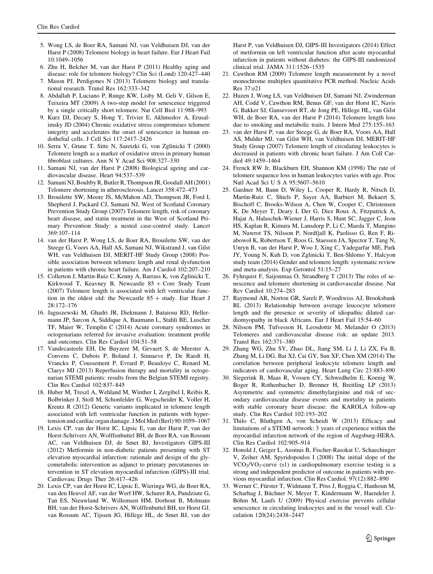- <span id="page-8-0"></span>5. Wong LS, de Boer RA, Samani NJ, van Veldhuisen DJ, van der Harst P (2008) Telomere biology in heart failure. Eur J Heart Fail 10:1049–1056
- 6. Zhu H, Belcher M, van der Harst P (2011) Healthy aging and disease: role for telomere biology? Clin Sci (Lond) 120:427–440
- 7. Mason PJ, Perdigones N (2013) Telomere biology and translational research. Transl Res 162:333–342
- 8. Abdallah P, Luciano P, Runge KW, Lisby M, Geli V, Gilson E, Teixeira MT (2009) A two-step model for senescence triggered by a single critically short telomere. Nat Cell Biol 11:988–993
- 9. Kurz DJ, Decary S, Hong Y, Trivier E, Akhmedov A, Erusalimsky JD (2004) Chronic oxidative stress compromises telomere integrity and accelerates the onset of senescence in human endothelial cells. J Cell Sci 117:2417–2426
- 10. Serra V, Grune T, Sitte N, Saretzki G, von Zglinicki T (2000) Telomere length as a marker of oxidative stress in primary human fibroblast cultures. Ann N Y Acad Sci 908:327–330
- 11. Samani NJ, van der Harst P (2008) Biological ageing and cardiovascular disease. Heart 94:537–539
- 12. Samani NJ, Boultby R, Butler R, Thompson JR, Goodall AH (2001) Telomere shortening in atherosclerosis. Lancet 358:472–473
- 13. Brouilette SW, Moore JS, McMahon AD, Thompson JR, Ford I, Shepherd J, Packard CJ, Samani NJ, West of Scotland Coronary Prevention Study Group (2007) Telomere length, risk of coronary heart disease, and statin treatment in the West of Scotland Primary Prevention Study: a nested case-control study. Lancet 369:107–114
- 14. van der Harst P, Wong LS, de Boer RA, Brouilette SW, van der Steege G, Voors AA, Hall AS, Samani NJ, Wikstrand J, van Gilst WH, van Veldhuisen DJ, MERIT-HF Study Group (2008) Possible association between telomere length and renal dysfunction in patients with chronic heart failure. Am J Cardiol 102:207–210
- 15. Collerton J, Martin-Ruiz C, Kenny A, Barrass K, von Zglinicki T, Kirkwood T, Keavney B, Newcastle  $85 +$  Core Study Team (2007) Telomere length is associated with left ventricular function in the oldest old: the Newcastle  $85 +$  study. Eur Heart J 28:172–176
- 16. Jaguszewski M, Ghadri JR, Diekmann J, Bataiosu RD, Hellermann JP, Sarcon A, Siddique A, Baumann L, Stahli BE, Luscher TF, Maier W, Templin C (2014) Acute coronary syndromes in octogenarians referred for invasive evaluation: treatment profile and outcomes. Clin Res Cardiol 104:51–58
- 17. Vandecasteele EH, De Buyzere M, Gevaert S, de Meester A, Convens C, Dubois P, Boland J, Sinnaeve P, De Raedt H, Vranckx P, Coussement P, Evrard P, Beauloye C, Renard M, Claeys MJ (2013) Reperfusion therapy and mortality in octogenarian STEMI patients: results from the Belgian STEMI registry. Clin Res Cardiol 102:837–845
- 18. Huber M, Treszl A, Wehland M, Winther I, Zergibel I, Reibis R, Bolbrinker J, Stoll M, Schonfelder G, Wegscheider K, Voller H, Kreutz R (2012) Genetic variants implicated in telomere length associated with left ventricular function in patients with hypertension and cardiac organ damage. J Mol Med (Berl) 90:1059–1067
- 19. Lexis CP, van der Horst IC, Lipsic E, van der Harst P, van der Horst-Schrivers AN, Wolffenbuttel BH, de Boer RA, van Rossum AC, van Veldhuisen DJ, de Smet BJ, Investigators GIPS-III (2012) Metformin in non-diabetic patients presenting with ST elevation myocardial infarction: rationale and design of the glycometabolic intervention as adjunct to primary percutaneous intervention in ST elevation myocardial infarction (GIPS)-III trial. Cardiovasc Drugs Ther 26:417–426
- 20. Lexis CP, van der Horst IC, Lipsic E, Wieringa WG, de Boer RA, van den Heuvel AF, van der Werf HW, Schurer RA, Pundziute G, Tan ES, Nieuwland W, Willemsen HM, Dorhout B, Molmans BH, van der Horst-Schrivers AN, Wolffenbuttel BH, ter Horst GJ, van Rossum AC, Tijssen JG, Hillege HL, de Smet BJ, van der

Harst P, van Veldhuisen DJ, GIPS-III Investigators (2014) Effect of metformin on left ventricular function after acute myocardial infarction in patients without diabetes: the GIPS-III randomized clinical trial. JAMA 311:1526–1535

- 21. Cawthon RM (2009) Telomere length measurement by a novel monochrome multiplex quantitative PCR method. Nucleic Acids Res 37:e21
- 22. Huzen J, Wong LS, van Veldhuisen DJ, Samani NJ, Zwinderman AH, Codd V, Cawthon RM, Benus GF, van der Horst IC, Navis G, Bakker SJ, Gansevoort RT, de Jong PE, Hillege HL, van Gilst WH, de Boer RA, van der Harst P (2014) Telomere length loss due to smoking and metabolic traits. J Intern Med 275:155–163
- 23. van der Harst P, van der Steege G, de Boer RA, Voors AA, Hall AS, Mulder MJ, van Gilst WH, van Veldhuisen DJ, MERIT-HF Study Group (2007) Telomere length of circulating leukocytes is decreased in patients with chronic heart failure. J Am Coll Cardiol 49:1459–1464
- 24. Frenck RW Jr, Blackburn EH, Shannon KM (1998) The rate of telomere sequence loss in human leukocytes varies with age. Proc Natl Acad Sci U S A 95:5607–5610
- 25. Gardner M, Bann D, Wiley L, Cooper R, Hardy R, Nitsch D, Martin-Ruiz C, Shiels P, Sayer AA, Barbieri M, Bekaert S, Bischoff C, Brooks-Wilson A, Chen W, Cooper C, Christensen K, De Meyer T, Deary I, Der G, Diez Roux A, Fitzpatrick A, Hajat A, Halaschek-Wiener J, Harris S, Hunt SC, Jagger C, Jeon HS, Kaplan R, Kimura M, Lansdorp P, Li C, Maeda T, Mangino M, Nawrot TS, Nilsson P, Nordfjall K, Paolisso G, Ren F, Riabowol K, Robertson T, Roos G, Staessen JA, Spector T, Tang N, Unryn B, van der Harst P, Woo J, Xing C, Yadegarfar ME, Park JY, Young N, Kuh D, von Zglinicki T, Ben-Shlomo Y, Halcyon study team (2014) Gender and telomere length: systematic review and meta-analysis. Exp Gerontol 51:15–27
- 26. Fyhrquist F, Saijonmaa O, Strandberg T (2013) The roles of senescence and telomere shortening in cardiovascular disease. Nat Rev Cardiol 10:274–283
- 27. Raymond AR, Norton GR, Sareli P, Woodiwiss AJ, Brooksbank RL (2013) Relationship between average leucocyte telomere length and the presence or severity of idiopathic dilated cardiomyopathy in black Africans. Eur J Heart Fail 15:54–60
- 28. Nilsson PM, Tufvesson H, Leosdottir M, Melander O (2013) Telomeres and cardiovascular disease risk: an update 2013. Transl Res 162:371–380
- 29. Zhang WG, Zhu SY, Zhao DL, Jiang SM, Li J, Li ZX, Fu B, Zhang M, Li DG, Bai XJ, Cai GY, Sun XF, Chen XM (2014) The correlation between peripheral leukocyte telomere length and indicators of cardiovascular aging. Heart Lung Circ 23:883–890
- 30. Siegerink B, Maas R, Vossen CY, Schwedhelm E, Koenig W, Boger R, Rothenbacher D, Brenner H, Breitling LP (2013) Asymmetric and symmetric dimethylarginine and risk of secondary cardiovascular disease events and mortality in patients with stable coronary heart disease: the KAROLA follow-up study. Clin Res Cardiol 102:193–202
- 31. Thilo C, Bluthgen A, von Scheidt W (2013) Efficacy and limitations of a STEMI network: 3 years of experience within the myocardial infarction network of the region of Augsburg-HERA. Clin Res Cardiol 102:905–914
- 32. Honold J, Geiger L, Assmus B, Fischer-Rasokat U, Schaechinger V, Zeiher AM, Spyridopoulos I (2008) The initial slope of the  $VCO<sub>2</sub>/VO<sub>2</sub>$ -curve (s1) in cardiopulmonary exercise testing is a strong and independent predictor of outcome in patients with previous myocardial infarction. Clin Res Cardiol. 97(12):882–890
- 33. Werner C, Fürster T, Widmann T, Pöss J, Roggia C, Hanhoun M, Scharhag J, Büchner N, Meyer T, Kindermann W, Haendeler J, Böhm M, Laufs U (2009) Physical exercise prevents cellular senescence in circulating leukocytes and in the vessel wall. Circulation 120(24):2438–2447